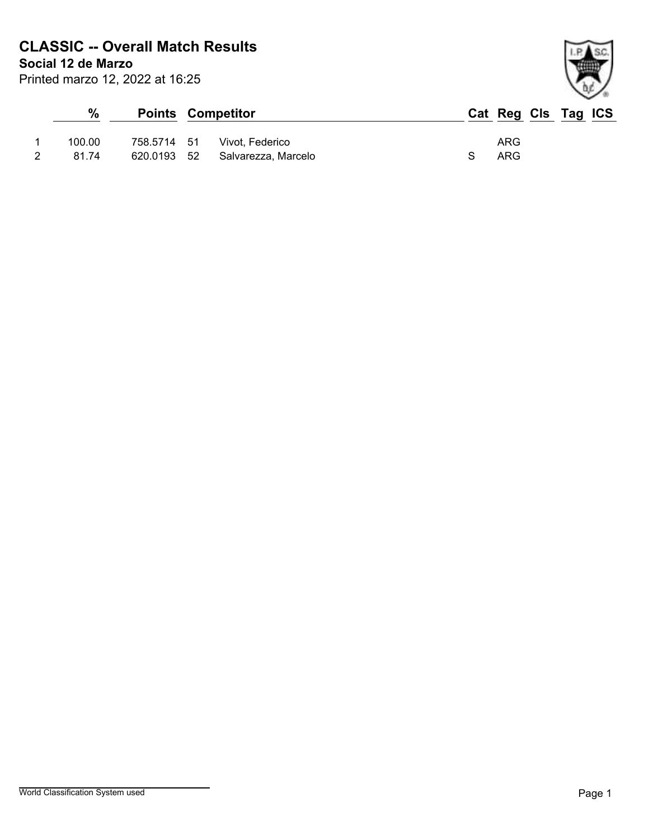# **CLASSIC -- Overall Match Results**

**Social 12 de Marzo**

| Printed marzo 12, 2022 at 16:25 |  |  |  |  |
|---------------------------------|--|--|--|--|
|---------------------------------|--|--|--|--|

| $\frac{0}{0}$ |             | <b>Points Competitor</b> | Cat Reg Cls Tag ICS |  |  |
|---------------|-------------|--------------------------|---------------------|--|--|
| 100.00        | 758.5714 51 | Vivot. Federico          | ARG                 |  |  |
| 81.74         | 620.0193 52 | Salvarezza, Marcelo      | ARG                 |  |  |

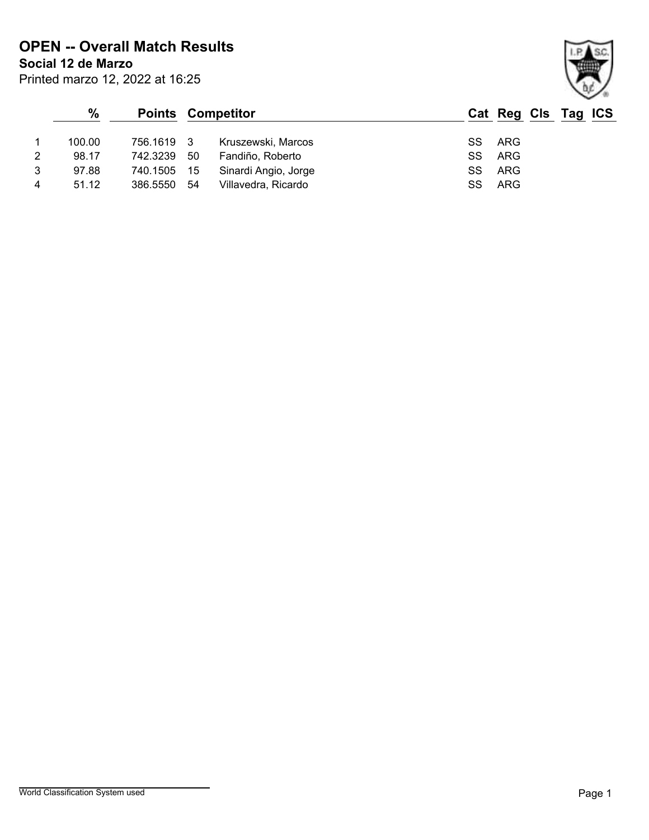# **OPEN -- Overall Match Results**

Printed marzo 12, 2022 at 16:25

**Social 12 de Marzo**

|                | %      |             |     | <b>Points Competitor</b> |    | Cat Reg Cls Tag ICS |  |  |
|----------------|--------|-------------|-----|--------------------------|----|---------------------|--|--|
|                | 100.00 | 756.1619 3  |     | Kruszewski, Marcos       |    | SS ARG              |  |  |
| 2              | 98.17  | 742.3239    | 50  | Fandiño, Roberto         |    | SS ARG              |  |  |
| 3              | 97.88  | 740.1505 15 |     | Sinardi Angio, Jorge     | SS | ARG                 |  |  |
| $\overline{4}$ | 51.12  | 386.5550    | -54 | Villavedra, Ricardo      | SS | ARG                 |  |  |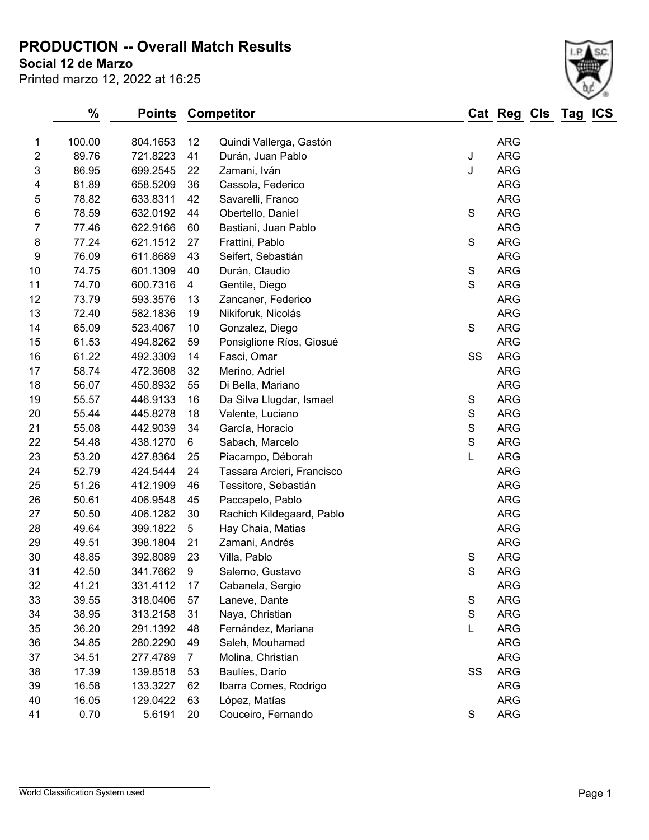**PRODUCTION -- Overall Match Results**

**Social 12 de Marzo**

| Printed marzo 12, 2022 at 16:25 |  |  |  |  |
|---------------------------------|--|--|--|--|
|---------------------------------|--|--|--|--|



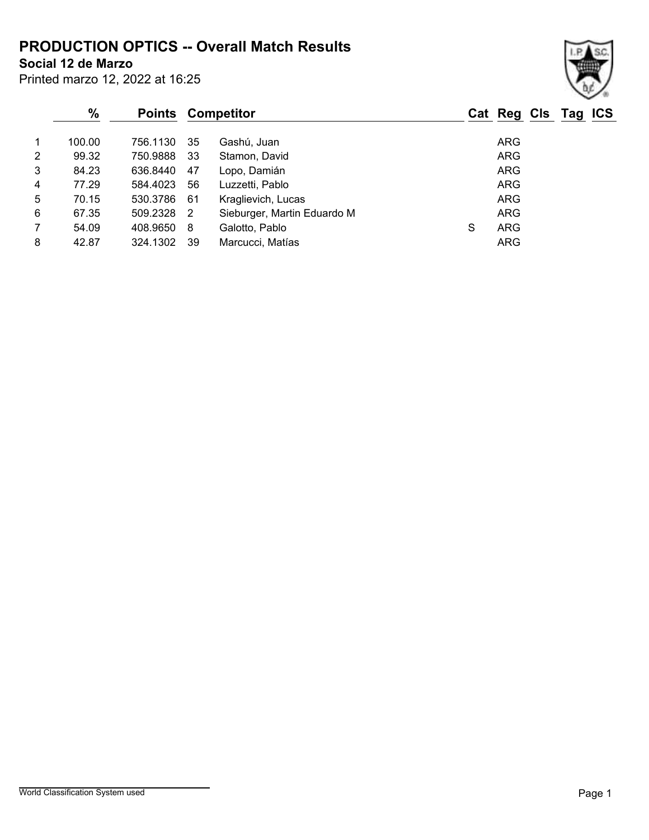### **PRODUCTION OPTICS -- Overall Match Results**

**Social 12 de Marzo**

| Printed marzo 12, 2022 at 16:25 |  |  |  |  |
|---------------------------------|--|--|--|--|
|---------------------------------|--|--|--|--|

### **% Points Competitor Cat Reg Cls Tag ICS** 1 100.00 756.1130 35 Gashú, Juan 1 100.00 ARG 2 99.32 750.9888 33 Stamon, David ARG 3 84.23 636.8440 47 Lopo, Damián ARG 4 77.29 584.4023 56 Luzzetti, Pablo ARG 5 70.15 530.3786 61 Kraglievich, Lucas ARG 6 67.35 509.2328 2 Sieburger, Martin Eduardo M ARG 7 54.09 408.9650 8 Galotto, Pablo S ARG 8 42.87 324.1302 39 Marcucci, Matías 68 18 18 18 18 18 18 18